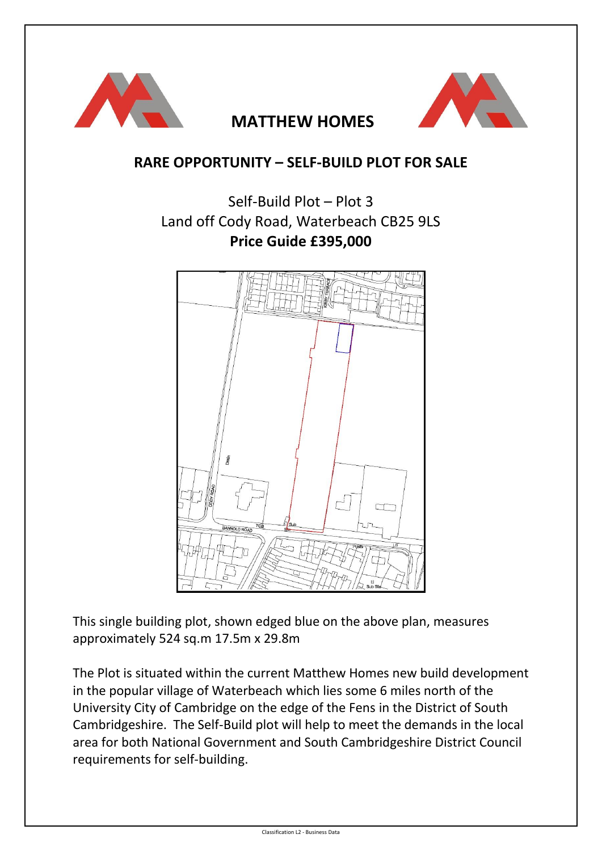

### **MATTHEW HOMES**



#### **RARE OPPORTUNITY – SELF-BUILD PLOT FOR SALE**

## Self-Build Plot – Plot 3 Land off Cody Road, Waterbeach CB25 9LS **Price Guide £395,000**



This single building plot, shown edged blue on the above plan, measures approximately 524 sq.m 17.5m x 29.8m

The Plot is situated within the current Matthew Homes new build development in the popular village of Waterbeach which lies some 6 miles north of the University City of Cambridge on the edge of the Fens in the District of South Cambridgeshire. The Self-Build plot will help to meet the demands in the local area for both National Government and South Cambridgeshire District Council requirements for self-building.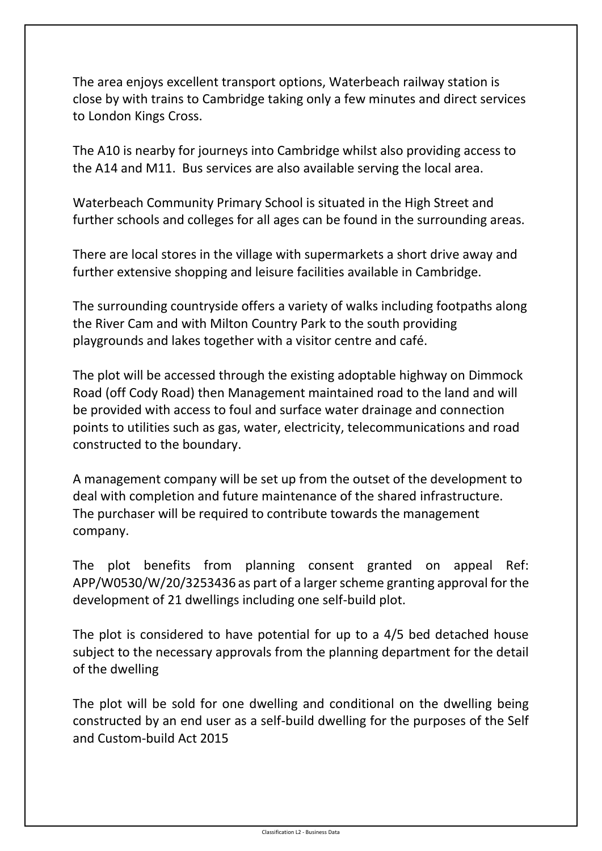The area enjoys excellent transport options, Waterbeach railway station is close by with trains to Cambridge taking only a few minutes and direct services to London Kings Cross.

The A10 is nearby for journeys into Cambridge whilst also providing access to the A14 and M11. Bus services are also available serving the local area.

Waterbeach Community Primary School is situated in the High Street and further schools and colleges for all ages can be found in the surrounding areas.

There are local stores in the village with supermarkets a short drive away and further extensive shopping and leisure facilities available in Cambridge.

The surrounding countryside offers a variety of walks including footpaths along the River Cam and with Milton Country Park to the south providing playgrounds and lakes together with a visitor centre and café.

The plot will be accessed through the existing adoptable highway on Dimmock Road (off Cody Road) then Management maintained road to the land and will be provided with access to foul and surface water drainage and connection points to utilities such as gas, water, electricity, telecommunications and road constructed to the boundary.

A management company will be set up from the outset of the development to deal with completion and future maintenance of the shared infrastructure. The purchaser will be required to contribute towards the management company.

The plot benefits from planning consent granted on appeal Ref: APP/W0530/W/20/3253436 as part of a larger scheme granting approval for the development of 21 dwellings including one self-build plot.

The plot is considered to have potential for up to a 4/5 bed detached house subject to the necessary approvals from the planning department for the detail of the dwelling

The plot will be sold for one dwelling and conditional on the dwelling being constructed by an end user as a self-build dwelling for the purposes of the Self and Custom-build Act 2015